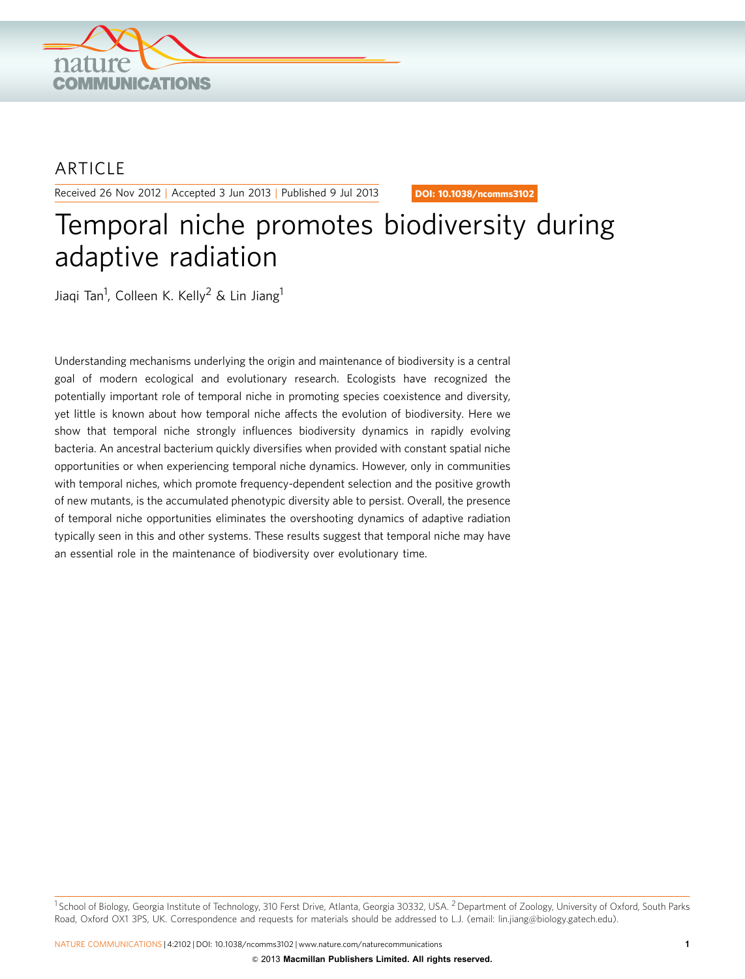

## **ARTICLE**

Received 26 Nov 2012 | Accepted 3 Jun 2013 | Published 9 Jul 2013

DOI: 10.1038/ncomms3102

# Temporal niche promotes biodiversity during adaptive radiation

Jiaqi Tan<sup>1</sup>, Colleen K. Kelly<sup>2</sup> & Lin Jiang<sup>1</sup>

Understanding mechanisms underlying the origin and maintenance of biodiversity is a central goal of modern ecological and evolutionary research. Ecologists have recognized the potentially important role of temporal niche in promoting species coexistence and diversity, yet little is known about how temporal niche affects the evolution of biodiversity. Here we show that temporal niche strongly influences biodiversity dynamics in rapidly evolving bacteria. An ancestral bacterium quickly diversifies when provided with constant spatial niche opportunities or when experiencing temporal niche dynamics. However, only in communities with temporal niches, which promote frequency-dependent selection and the positive growth of new mutants, is the accumulated phenotypic diversity able to persist. Overall, the presence of temporal niche opportunities eliminates the overshooting dynamics of adaptive radiation typically seen in this and other systems. These results suggest that temporal niche may have an essential role in the maintenance of biodiversity over evolutionary time.

<sup>1</sup> School of Biology, Georgia Institute of Technology, 310 Ferst Drive, Atlanta, Georgia 30332, USA. <sup>2</sup> Department of Zoology, University of Oxford, South Parks Road, Oxford OX1 3PS, UK. Correspondence and requests for materials should be addressed to L.J. (email: [lin.jiang@biology.gatech.edu\)](mailto:lin.jiang@biology.gatech.edu).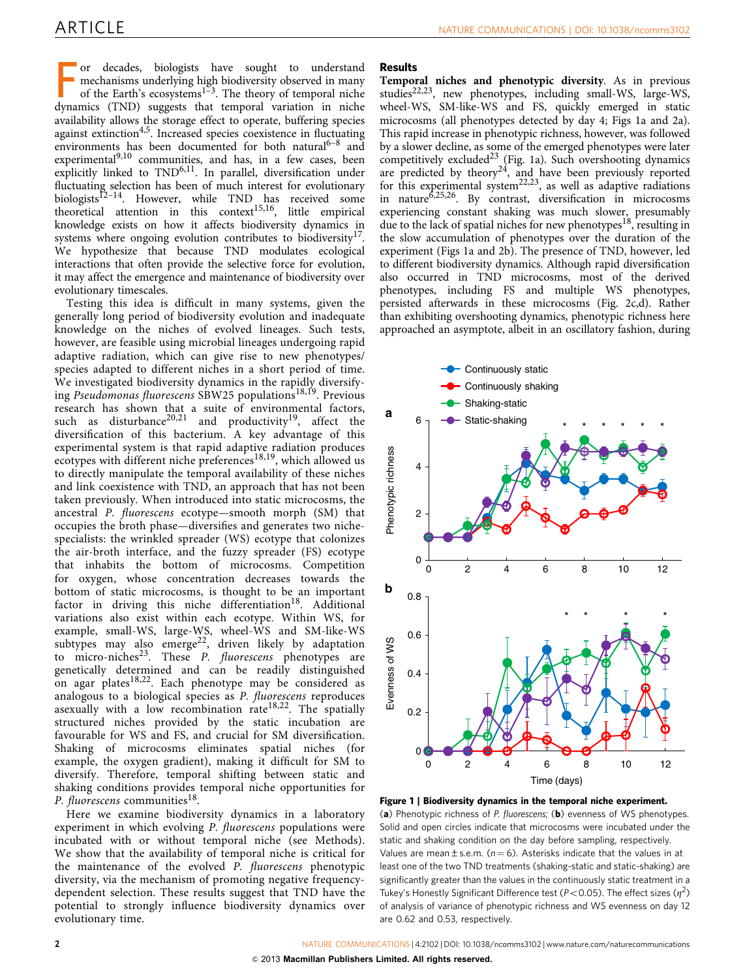<span id="page-1-0"></span>or decades, biologists have sought to understand<br>mechanisms underlying high biodiversity observed in many<br>of the Earth's ecosystems<sup>1-3</sup>. The theory of temporal niche<br>dynamics (TND) suggests that temporal variation in nich or decades, biologists have sought to understand mechanisms underlying high biodiversity observed in many of the Earth's ecosystems<sup>1-3</sup>. The theory of temporal niche availability allows the storage effect to operate, buffering species against extinction<sup>[4,5](#page-5-0)</sup>. Increased species coexistence in fluctuating environments has been documented for both natural $6-8$  and experimental<sup>[9,10](#page-5-0)</sup> communities, and has, in a few cases, been explicitly linked to TND<sup>6,11</sup>. In parallel, diversification under fluctuating selection has been of much interest for evolutionary biologists<sup>12–14</sup>. However, while TND has received some theoretical attention in this context<sup>[15,16](#page-5-0)</sup>, little empirical knowledge exists on how it affects biodiversity dynamics in systems where ongoing evolution contributes to biodiversity<sup>17</sup>. We hypothesize that because TND modulates ecological interactions that often provide the selective force for evolution, it may affect the emergence and maintenance of biodiversity over evolutionary timescales.

Testing this idea is difficult in many systems, given the generally long period of biodiversity evolution and inadequate knowledge on the niches of evolved lineages. Such tests, however, are feasible using microbial lineages undergoing rapid adaptive radiation, which can give rise to new phenotypes/ species adapted to different niches in a short period of time. We investigated biodiversity dynamics in the rapidly diversify-ing Pseudomonas fluorescens SBW25 populations<sup>[18,19](#page-5-0)</sup>. Previous research has shown that a suite of environmental factors, such as disturbance<sup>[20,21](#page-5-0)</sup> and productivity<sup>19</sup>, affect the diversification of this bacterium. A key advantage of this experimental system is that rapid adaptive radiation produces ecotypes with different niche preferences<sup>[18,19](#page-5-0)</sup>, which allowed us to directly manipulate the temporal availability of these niches and link coexistence with TND, an approach that has not been taken previously. When introduced into static microcosms, the ancestral P. fluorescens ecotype—smooth morph (SM) that occupies the broth phase—diversifies and generates two nichespecialists: the wrinkled spreader (WS) ecotype that colonizes the air-broth interface, and the fuzzy spreader (FS) ecotype that inhabits the bottom of microcosms. Competition for oxygen, whose concentration decreases towards the bottom of static microcosms, is thought to be an important factor in driving this niche differentiation<sup>18</sup>. Additional variations also exist within each ecotype. Within WS, for example, small-WS, large-WS, wheel-WS and SM-like-WS subtypes may also emerge<sup>[22](#page-5-0)</sup>, driven likely by adaptation to micro-niches $^{23}$ . These *P. fluorescens* phenotypes are genetically determined and can be readily distinguished on agar plates<sup>18,22</sup>. Each phenotype may be considered as analogous to a biological species as P. fluorescens reproduces asexually with a low recombination rate<sup>[18,22](#page-5-0)</sup>. The spatially structured niches provided by the static incubation are favourable for WS and FS, and crucial for SM diversification. Shaking of microcosms eliminates spatial niches (for example, the oxygen gradient), making it difficult for SM to diversify. Therefore, temporal shifting between static and shaking conditions provides temporal niche opportunities for P. fluorescens communities<sup>[18](#page-5-0)</sup>.

Here we examine biodiversity dynamics in a laboratory experiment in which evolving P. fluorescens populations were incubated with or without temporal niche (see Methods). We show that the availability of temporal niche is critical for the maintenance of the evolved P. fluorescens phenotypic diversity, via the mechanism of promoting negative frequencydependent selection. These results suggest that TND have the potential to strongly influence biodiversity dynamics over evolutionary time.

### Results

Temporal niches and phenotypic diversity. As in previous studies<sup>22,23</sup>, new phenotypes, including small-WS, large-WS, wheel-WS, SM-like-WS and FS, quickly emerged in static microcosms (all phenotypes detected by day 4; Figs 1a and 2a). This rapid increase in phenotypic richness, however, was followed by a slower decline, as some of the emerged phenotypes were later competitively excluded $^{23}$  $^{23}$  $^{23}$  (Fig. 1a). Such overshooting dynamics are predicted by theory<sup>[24](#page-5-0)</sup>, and have been previously reported for this experimental system<sup>22,23</sup>, as well as adaptive radiations in nature<sup>[6,25,26](#page-5-0)</sup>. By contrast, diversification in microcosms experiencing constant shaking was much slower, presumably due to the lack of spatial niches for new phenotypes<sup>18</sup>, resulting in the slow accumulation of phenotypes over the duration of the experiment (Figs 1a and 2b). The presence of TND, however, led to different biodiversity dynamics. Although rapid diversification also occurred in TND microcosms, most of the derived phenotypes, including FS and multiple WS phenotypes, persisted afterwards in these microcosms ([Fig. 2c,d](#page-2-0)). Rather than exhibiting overshooting dynamics, phenotypic richness here approached an asymptote, albeit in an oscillatory fashion, during



Figure 1 | Biodiversity dynamics in the temporal niche experiment. (a) Phenotypic richness of P. fluorescens; (b) evenness of WS phenotypes. Solid and open circles indicate that microcosms were incubated under the static and shaking condition on the day before sampling, respectively. Values are mean  $\pm$  s.e.m. ( $n = 6$ ). Asterisks indicate that the values in at least one of the two TND treatments (shaking-static and static-shaking) are significantly greater than the values in the continuously static treatment in a Tukey's Honestly Significant Difference test ( $P < 0.05$ ). The effect sizes ( $\eta^2$ ) of analysis of variance of phenotypic richness and WS evenness on day 12 are 0.62 and 0.53, respectively.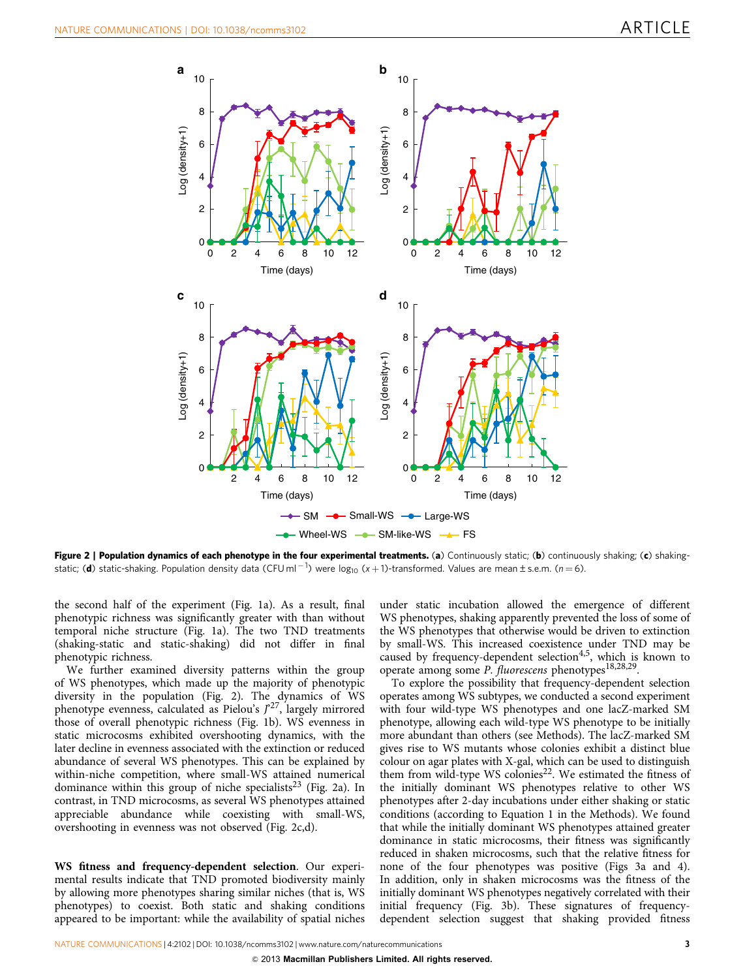<span id="page-2-0"></span>

Figure 2 | Population dynamics of each phenotype in the four experimental treatments. (a) Continuously static; (b) continuously shaking; (c) shakingstatic; (**d**) static-shaking. Population density data (CFU ml  $^{-1}$ ) were log<sub>10</sub> (x + 1)-transformed. Values are mean±s.e.m. (n = 6).

the second half of the experiment ([Fig. 1a\)](#page-1-0). As a result, final phenotypic richness was significantly greater with than without temporal niche structure [\(Fig. 1a\)](#page-1-0). The two TND treatments (shaking-static and static-shaking) did not differ in final phenotypic richness.

We further examined diversity patterns within the group of WS phenotypes, which made up the majority of phenotypic diversity in the population (Fig. 2). The dynamics of WS phenotype evenness, calculated as Pielou's  $J^{27}$  $J^{27}$  $J^{27}$ , largely mirrored those of overall phenotypic richness ([Fig. 1b\)](#page-1-0). WS evenness in static microcosms exhibited overshooting dynamics, with the later decline in evenness associated with the extinction or reduced abundance of several WS phenotypes. This can be explained by within-niche competition, where small-WS attained numerical dominance within this group of niche specialists<sup>[23](#page-5-0)</sup> (Fig. 2a). In contrast, in TND microcosms, as several WS phenotypes attained appreciable abundance while coexisting with small-WS, overshooting in evenness was not observed (Fig. 2c,d).

WS fitness and frequency-dependent selection. Our experimental results indicate that TND promoted biodiversity mainly by allowing more phenotypes sharing similar niches (that is, WS phenotypes) to coexist. Both static and shaking conditions appeared to be important: while the availability of spatial niches under static incubation allowed the emergence of different WS phenotypes, shaking apparently prevented the loss of some of the WS phenotypes that otherwise would be driven to extinction by small-WS. This increased coexistence under TND may be caused by frequency-dependent selection<sup>4,5</sup>, which is known to operate among some P. fluorescens phenotypes<sup>[18,28,29](#page-5-0)</sup>.

To explore the possibility that frequency-dependent selection operates among WS subtypes, we conducted a second experiment with four wild-type WS phenotypes and one lacZ-marked SM phenotype, allowing each wild-type WS phenotype to be initially more abundant than others (see Methods). The lacZ-marked SM gives rise to WS mutants whose colonies exhibit a distinct blue colour on agar plates with X-gal, which can be used to distinguish them from wild-type WS colonies<sup>22</sup>. We estimated the fitness of the initially dominant WS phenotypes relative to other WS phenotypes after 2-day incubations under either shaking or static conditions (according to Equation 1 in the Methods). We found that while the initially dominant WS phenotypes attained greater dominance in static microcosms, their fitness was significantly reduced in shaken microcosms, such that the relative fitness for none of the four phenotypes was positive ([Figs 3a and 4](#page-3-0)). In addition, only in shaken microcosms was the fitness of the initially dominant WS phenotypes negatively correlated with their initial frequency ([Fig. 3b](#page-3-0)). These signatures of frequencydependent selection suggest that shaking provided fitness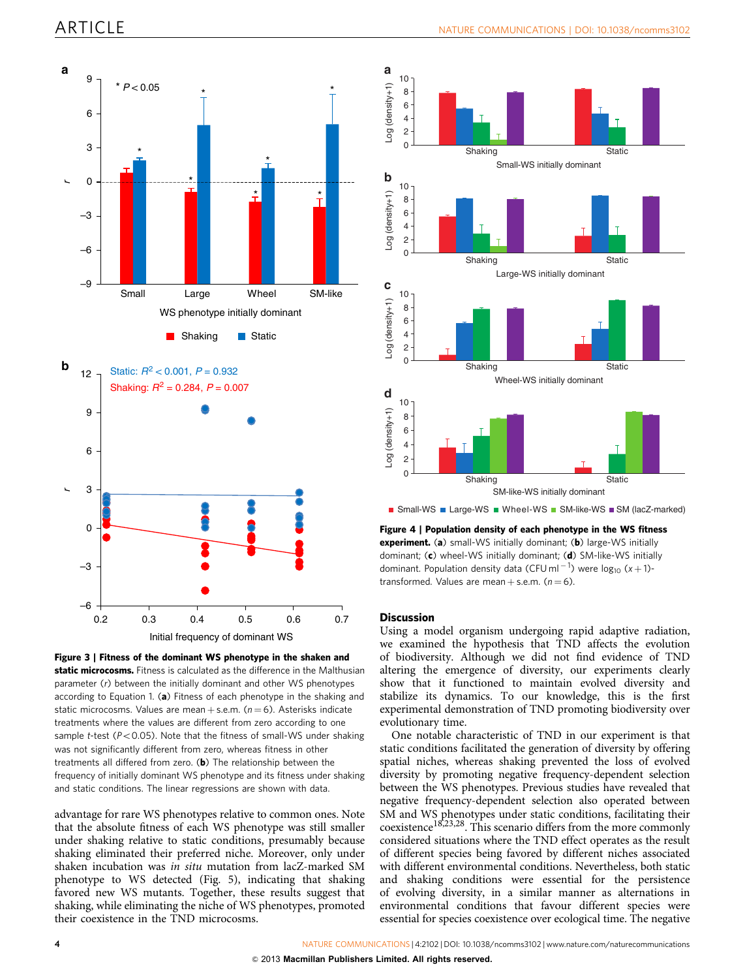<span id="page-3-0"></span>



advantage for rare WS phenotypes relative to common ones. Note that the absolute fitness of each WS phenotype was still smaller under shaking relative to static conditions, presumably because shaking eliminated their preferred niche. Moreover, only under shaken incubation was in situ mutation from lacZ-marked SM phenotype to WS detected ([Fig. 5\)](#page-4-0), indicating that shaking favored new WS mutants. Together, these results suggest that shaking, while eliminating the niche of WS phenotypes, promoted their coexistence in the TND microcosms.



Figure 4 | Population density of each phenotype in the WS fitness experiment. (a) small-WS initially dominant; (b) large-WS initially dominant; (c) wheel-WS initially dominant; (d) SM-like-WS initially dominant. Population density data (CFU ml<sup>-1</sup>) were  $log_{10} (x + 1)$ transformed. Values are mean  $+$  s.e.m. ( $n = 6$ ).

### **Discussion**

Using a model organism undergoing rapid adaptive radiation, we examined the hypothesis that TND affects the evolution of biodiversity. Although we did not find evidence of TND altering the emergence of diversity, our experiments clearly show that it functioned to maintain evolved diversity and stabilize its dynamics. To our knowledge, this is the first experimental demonstration of TND promoting biodiversity over evolutionary time.

One notable characteristic of TND in our experiment is that static conditions facilitated the generation of diversity by offering spatial niches, whereas shaking prevented the loss of evolved diversity by promoting negative frequency-dependent selection between the WS phenotypes. Previous studies have revealed that negative frequency-dependent selection also operated between SM and WS phenotypes under static conditions, facilitating their coexistence[18,23,28.](#page-5-0) This scenario differs from the more commonly considered situations where the TND effect operates as the result of different species being favored by different niches associated with different environmental conditions. Nevertheless, both static and shaking conditions were essential for the persistence of evolving diversity, in a similar manner as alternations in environmental conditions that favour different species were essential for species coexistence over ecological time. The negative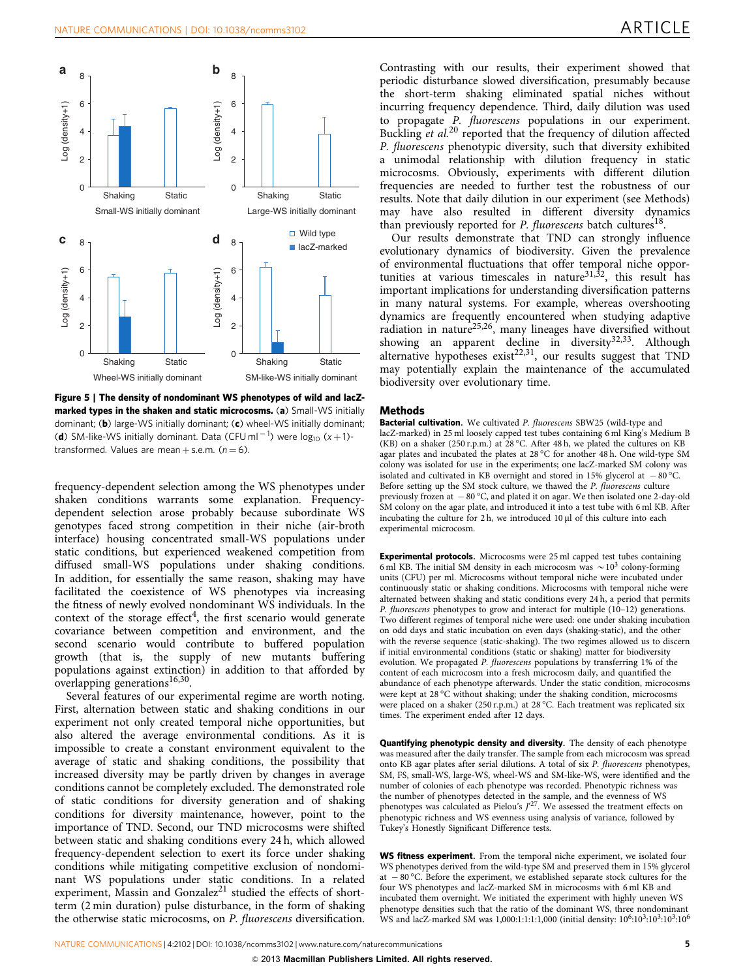<span id="page-4-0"></span>

Figure 5 | The density of nondominant WS phenotypes of wild and lacZmarked types in the shaken and static microcosms. (a) Small-WS initially dominant; (b) large-WS initially dominant; (c) wheel-WS initially dominant; (**d**) SM-like-WS initially dominant. Data (CFU ml<sup>-1</sup>) were  $log_{10}$  (x + 1)transformed. Values are mean + s.e.m.  $(n = 6)$ .

frequency-dependent selection among the WS phenotypes under shaken conditions warrants some explanation. Frequencydependent selection arose probably because subordinate WS genotypes faced strong competition in their niche (air-broth interface) housing concentrated small-WS populations under static conditions, but experienced weakened competition from diffused small-WS populations under shaking conditions. In addition, for essentially the same reason, shaking may have facilitated the coexistence of WS phenotypes via increasing the fitness of newly evolved nondominant WS individuals. In the context of the storage effect<sup>[4](#page-5-0)</sup>, the first scenario would generate covariance between competition and environment, and the second scenario would contribute to buffered population growth (that is, the supply of new mutants buffering populations against extinction) in addition to that afforded by overlapping generations<sup>[16,30](#page-5-0)</sup>.

Several features of our experimental regime are worth noting. First, alternation between static and shaking conditions in our experiment not only created temporal niche opportunities, but also altered the average environmental conditions. As it is impossible to create a constant environment equivalent to the average of static and shaking conditions, the possibility that increased diversity may be partly driven by changes in average conditions cannot be completely excluded. The demonstrated role of static conditions for diversity generation and of shaking conditions for diversity maintenance, however, point to the importance of TND. Second, our TND microcosms were shifted between static and shaking conditions every 24 h, which allowed frequency-dependent selection to exert its force under shaking conditions while mitigating competitive exclusion of nondominant WS populations under static conditions. In a related experiment, Massin and Gonzalez<sup>[21](#page-5-0)</sup> studied the effects of shortterm (2 min duration) pulse disturbance, in the form of shaking the otherwise static microcosms, on P. fluorescens diversification.

Contrasting with our results, their experiment showed that periodic disturbance slowed diversification, presumably because the short-term shaking eliminated spatial niches without incurring frequency dependence. Third, daily dilution was used to propagate P. fluorescens populations in our experiment. Buckling et al.<sup>[20](#page-5-0)</sup> reported that the frequency of dilution affected P. fluorescens phenotypic diversity, such that diversity exhibited a unimodal relationship with dilution frequency in static microcosms. Obviously, experiments with different dilution frequencies are needed to further test the robustness of our results. Note that daily dilution in our experiment (see Methods) may have also resulted in different diversity dynamics than previously reported for  $P$ . fluorescens batch cultures<sup>18</sup>.

Our results demonstrate that TND can strongly influence evolutionary dynamics of biodiversity. Given the prevalence of environmental fluctuations that offer temporal niche opportunities at various timescales in nature $31,32$ , this result has important implications for understanding diversification patterns in many natural systems. For example, whereas overshooting dynamics are frequently encountered when studying adaptive radiation in nature<sup>25,26</sup>, many lineages have diversified without showing an apparent decline in diversity<sup>32,33</sup>. Although alternative hypotheses exist<sup>[22,31](#page-5-0)</sup>, our results suggest that TND may potentially explain the maintenance of the accumulated biodiversity over evolutionary time.

### **Methods**

Bacterial cultivation. We cultivated P. fluorescens SBW25 (wild-type and lacZ-marked) in 25 ml loosely capped test tubes containing 6 ml King's Medium B (KB) on a shaker (250 r.p.m.) at 28 °C. After 48 h, we plated the cultures on KB agar plates and incubated the plates at  $28\,^{\circ}\text{C}$  for another 48 h. One wild-type SM colony was isolated for use in the experiments; one lacZ-marked SM colony was isolated and cultivated in KB overnight and stored in 15% glycerol at  $-80^{\circ}$ C. Before setting up the SM stock culture, we thawed the P. fluorescens culture previously frozen at  $-80^{\circ}$ C, and plated it on agar. We then isolated one 2-day-old SM colony on the agar plate, and introduced it into a test tube with 6 ml KB. After incubating the culture for  $2h$ , we introduced  $10 \mu l$  of this culture into each experimental microcosm.

Experimental protocols. Microcosms were 25 ml capped test tubes containing 6 ml KB. The initial SM density in each microcosm was  $\sim 10^3$  colony-forming units (CFU) per ml. Microcosms without temporal niche were incubated under continuously static or shaking conditions. Microcosms with temporal niche were alternated between shaking and static conditions every 24 h, a period that permits P. fluorescens phenotypes to grow and interact for multiple (10–12) generations. Two different regimes of temporal niche were used: one under shaking incubation on odd days and static incubation on even days (shaking-static), and the other with the reverse sequence (static-shaking). The two regimes allowed us to discern if initial environmental conditions (static or shaking) matter for biodiversity evolution. We propagated P. fluorescens populations by transferring 1% of the content of each microcosm into a fresh microcosm daily, and quantified the abundance of each phenotype afterwards. Under the static condition, microcosms were kept at 28 °C without shaking; under the shaking condition, microcosms were placed on a shaker (250 r.p.m.) at 28 °C. Each treatment was replicated six times. The experiment ended after 12 days.

Quantifying phenotypic density and diversity. The density of each phenotype was measured after the daily transfer. The sample from each microcosm was spread onto KB agar plates after serial dilutions. A total of six P. fluorescens phenotypes, SM, FS, small-WS, large-WS, wheel-WS and SM-like-WS, were identified and the number of colonies of each phenotype was recorded. Phenotypic richness was the number of phenotypes detected in the sample, and the evenness of WS phenotypes was calculated as Pielou's  $J^{27}$ . We assessed the treatment effects on phenotypic richness and WS evenness using analysis of variance, followed by Tukey's Honestly Significant Difference tests.

WS fitness experiment. From the temporal niche experiment, we isolated four WS phenotypes derived from the wild-type SM and preserved them in 15% glycerol at  $-80^{\circ}$ C. Before the experiment, we established separate stock cultures for the four WS phenotypes and lacZ-marked SM in microcosms with 6 ml KB and incubated them overnight. We initiated the experiment with highly uneven WS phenotype densities such that the ratio of the dominant WS, three nondominant WS and lacZ-marked SM was 1,000:1:1:1:1,000 (initial density:  $10^6:10^3:10^3:10^5:10^6$